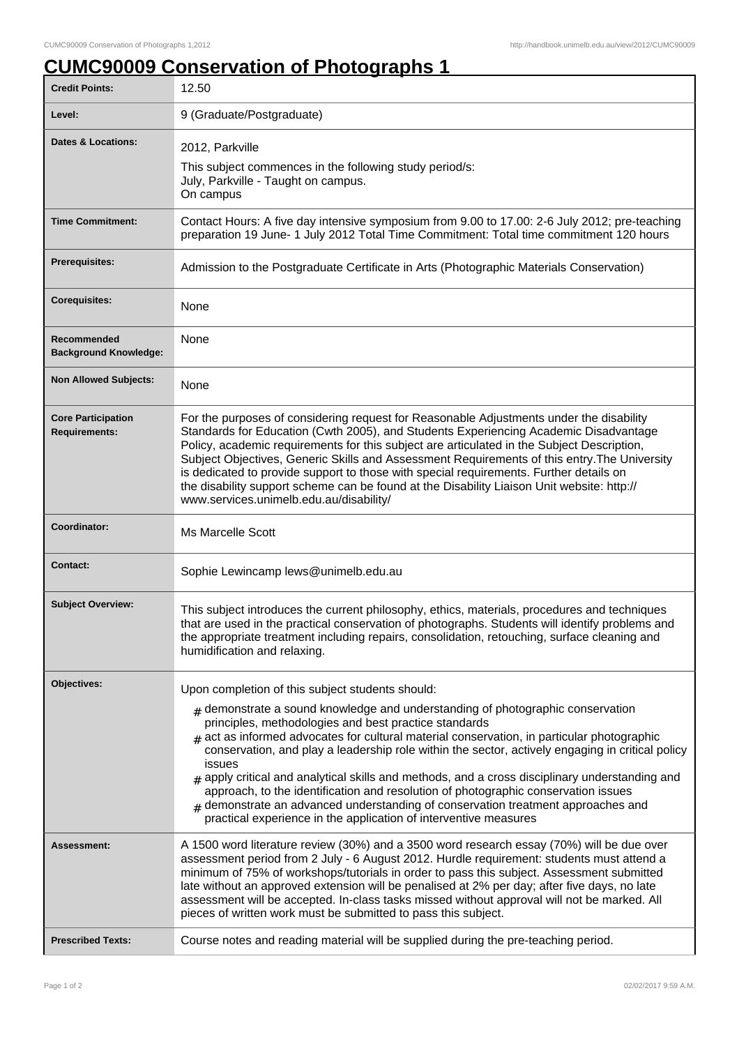## **CUMC90009 Conservation of Photographs 1**

| <b>Credit Points:</b>                             | 12.50                                                                                                                                                                                                                                                                                                                                                                                                                                                                                                                                                                                                                                                                                                                                                                          |
|---------------------------------------------------|--------------------------------------------------------------------------------------------------------------------------------------------------------------------------------------------------------------------------------------------------------------------------------------------------------------------------------------------------------------------------------------------------------------------------------------------------------------------------------------------------------------------------------------------------------------------------------------------------------------------------------------------------------------------------------------------------------------------------------------------------------------------------------|
| Level:                                            | 9 (Graduate/Postgraduate)                                                                                                                                                                                                                                                                                                                                                                                                                                                                                                                                                                                                                                                                                                                                                      |
| <b>Dates &amp; Locations:</b>                     | 2012, Parkville<br>This subject commences in the following study period/s:<br>July, Parkville - Taught on campus.<br>On campus                                                                                                                                                                                                                                                                                                                                                                                                                                                                                                                                                                                                                                                 |
| <b>Time Commitment:</b>                           | Contact Hours: A five day intensive symposium from 9.00 to 17.00: 2-6 July 2012; pre-teaching<br>preparation 19 June- 1 July 2012 Total Time Commitment: Total time commitment 120 hours                                                                                                                                                                                                                                                                                                                                                                                                                                                                                                                                                                                       |
| <b>Prerequisites:</b>                             | Admission to the Postgraduate Certificate in Arts (Photographic Materials Conservation)                                                                                                                                                                                                                                                                                                                                                                                                                                                                                                                                                                                                                                                                                        |
| <b>Corequisites:</b>                              | None                                                                                                                                                                                                                                                                                                                                                                                                                                                                                                                                                                                                                                                                                                                                                                           |
| Recommended<br><b>Background Knowledge:</b>       | None                                                                                                                                                                                                                                                                                                                                                                                                                                                                                                                                                                                                                                                                                                                                                                           |
| <b>Non Allowed Subjects:</b>                      | None                                                                                                                                                                                                                                                                                                                                                                                                                                                                                                                                                                                                                                                                                                                                                                           |
| <b>Core Participation</b><br><b>Requirements:</b> | For the purposes of considering request for Reasonable Adjustments under the disability<br>Standards for Education (Cwth 2005), and Students Experiencing Academic Disadvantage<br>Policy, academic requirements for this subject are articulated in the Subject Description,<br>Subject Objectives, Generic Skills and Assessment Requirements of this entry. The University<br>is dedicated to provide support to those with special requirements. Further details on<br>the disability support scheme can be found at the Disability Liaison Unit website: http://<br>www.services.unimelb.edu.au/disability/                                                                                                                                                               |
| Coordinator:                                      | <b>Ms Marcelle Scott</b>                                                                                                                                                                                                                                                                                                                                                                                                                                                                                                                                                                                                                                                                                                                                                       |
| <b>Contact:</b>                                   | Sophie Lewincamp lews@unimelb.edu.au                                                                                                                                                                                                                                                                                                                                                                                                                                                                                                                                                                                                                                                                                                                                           |
| <b>Subject Overview:</b>                          | This subject introduces the current philosophy, ethics, materials, procedures and techniques<br>that are used in the practical conservation of photographs. Students will identify problems and<br>the appropriate treatment including repairs, consolidation, retouching, surface cleaning and<br>humidification and relaxing.                                                                                                                                                                                                                                                                                                                                                                                                                                                |
| Objectives:                                       | Upon completion of this subject students should:<br>$#$ demonstrate a sound knowledge and understanding of photographic conservation<br>principles, methodologies and best practice standards<br>$_{\text{\#}}$ act as informed advocates for cultural material conservation, in particular photographic<br>conservation, and play a leadership role within the sector, actively engaging in critical policy<br>issues<br>$_{\#}$ apply critical and analytical skills and methods, and a cross disciplinary understanding and<br>approach, to the identification and resolution of photographic conservation issues<br>$#$ demonstrate an advanced understanding of conservation treatment approaches and<br>practical experience in the application of interventive measures |
| Assessment:                                       | A 1500 word literature review (30%) and a 3500 word research essay (70%) will be due over<br>assessment period from 2 July - 6 August 2012. Hurdle requirement: students must attend a<br>minimum of 75% of workshops/tutorials in order to pass this subject. Assessment submitted<br>late without an approved extension will be penalised at 2% per day; after five days, no late<br>assessment will be accepted. In-class tasks missed without approval will not be marked. All<br>pieces of written work must be submitted to pass this subject.                                                                                                                                                                                                                           |
| <b>Prescribed Texts:</b>                          | Course notes and reading material will be supplied during the pre-teaching period.                                                                                                                                                                                                                                                                                                                                                                                                                                                                                                                                                                                                                                                                                             |